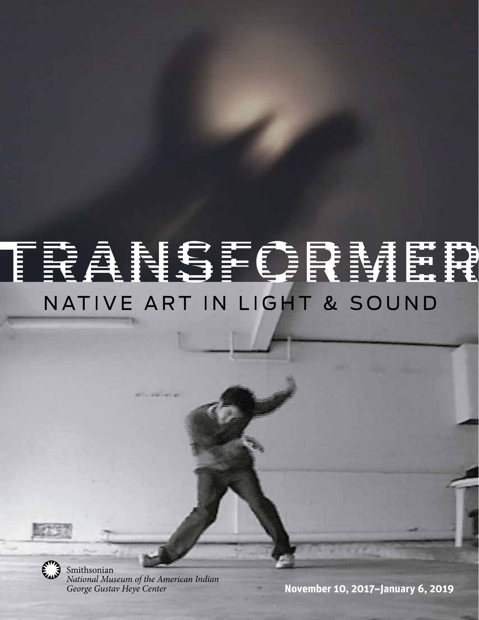### FRANCIFEMER IN LIGHT & SOUND NATIVE ART



Smithsonian *National Museum of the American Indian George Gustav Heye Center*

**November 10, 2017–January 6, 2019**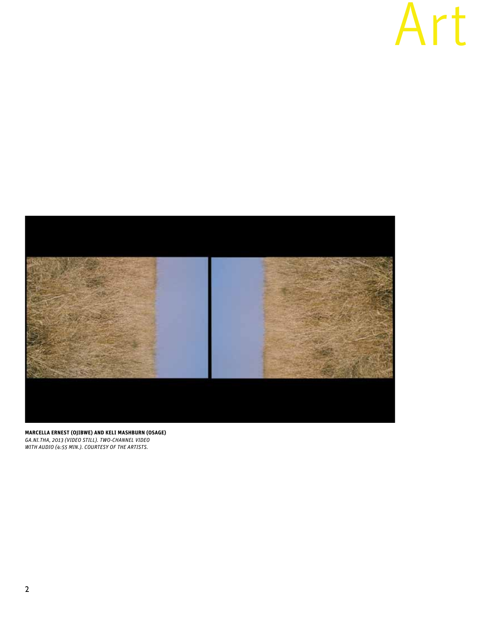## Art



**MARCELLA ERNEST (OJIBWE) AND KELI MASHBURN (OSAGE)**  *GA.NI.THA, 2013 (VIDEO STILL). TWO-CHANNEL VIDEO WITH AUDIO (4:55 MIN.). COURTESY OF THE ARTISTS.*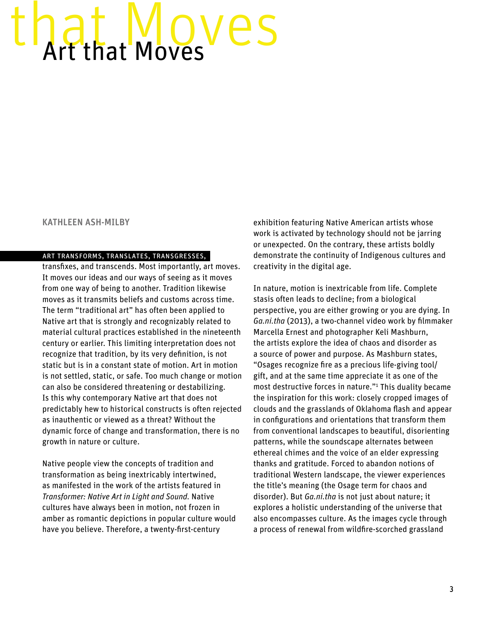# <span id="page-2-0"></span>Art that Moves

### KATHLEEN ASH-MILBY

### art transforms, translates, transgresses,

transfixes, and transcends. Most importantly, art moves. It moves our ideas and our ways of seeing as it moves from one way of being to another. Tradition likewise moves as it transmits beliefs and customs across time. The term "traditional art" has often been applied to Native art that is strongly and recognizably related to material cultural practices established in the nineteenth century or earlier. This limiting interpretation does not recognize that tradition, by its very definition, is not static but is in a constant state of motion. Art in motion is not settled, static, or safe. Too much change or motion can also be considered threatening or destabilizing. Is this why contemporary Native art that does not predictably hew to historical constructs is often rejected as inauthentic or viewed as a threat? Without the dynamic force of change and transformation, there is no growth in nature or culture.

Native people view the concepts of tradition and transformation as being inextricably intertwined, as manifested in the work of the artists featured in *Transformer: Native Art in Light and Sound.* Native cultures have always been in motion, not frozen in amber as romantic depictions in popular culture would have you believe. Therefore, a twenty-first-century

exhibition featuring Native American artists whose work is activated by technology should not be jarring or unexpected. On the contrary, these artists boldly demonstrate the continuity of Indigenous cultures and creativity in the digital age.

In nature, motion is inextricable from life. Complete stasis often leads to decline; from a biological perspective, you are either growing or you are dying. In *Ga.ni.tha* (2013), a two-channel video work by filmmaker Marcella Ernest and photographer Keli Mashburn, the artists explore the idea of chaos and disorder as a source of power and purpose. As Mashburn states, "Osages recognize fire as a precious life-giving tool/ gift, and at the same time appreciate it as one of the most destructive forces in nature."[1](#page-6-0) This duality became the inspiration for this work: closely cropped images of clouds and the grasslands of Oklahoma flash and appear in configurations and orientations that transform them from conventional landscapes to beautiful, disorienting patterns, while the soundscape alternates between ethereal chimes and the voice of an elder expressing thanks and gratitude. Forced to abandon notions of traditional Western landscape, the viewer experiences the title's meaning (the Osage term for chaos and disorder). But *Ga.ni.tha* is not just about nature; it explores a holistic understanding of the universe that also encompasses culture. As the images cycle through a process of renewal from wildfire-scorched grassland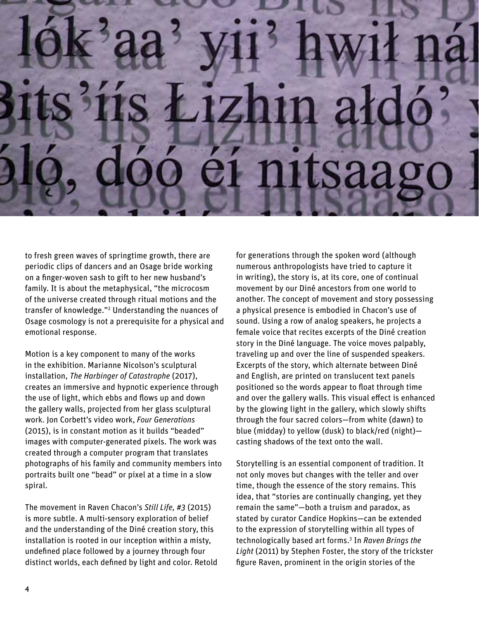# <span id="page-3-0"></span>Saa

to fresh green waves of springtime growth, there are periodic clips of dancers and an Osage bride working on a finger-woven sash to gift to her new husband's family. It is about the metaphysical, "the microcosm of the universe created through ritual motions and the transfer of knowledge.["2](#page-6-0) Understanding the nuances of Osage cosmology is not a prerequisite for a physical and emotional response.

Motion is a key component to many of the works in the exhibition. Marianne Nicolson's sculptural installation, *The Harbinger of Catastrophe* (2017), creates an immersive and hypnotic experience through the use of light, which ebbs and flows up and down the gallery walls, projected from her glass sculptural work. Jon Corbett's video work, *Four Generations* (2015), is in constant motion as it builds "beaded" images with computer-generated pixels. The work was created through a computer program that translates photographs of his family and community members into portraits built one "bead" or pixel at a time in a slow spiral.

The movement in Raven Chacon's *Still Life, #3* (2015) is more subtle. A multi-sensory exploration of belief and the understanding of the Diné creation story, this installation is rooted in our inception within a misty, undefined place followed by a journey through four distinct worlds, each defined by light and color. Retold for generations through the spoken word (although numerous anthropologists have tried to capture it in writing), the story is, at its core, one of continual movement by our Diné ancestors from one world to another. The concept of movement and story possessing a physical presence is embodied in Chacon's use of sound. Using a row of analog speakers, he projects a female voice that recites excerpts of the Diné creation story in the Diné language. The voice moves palpably, traveling up and over the line of suspended speakers. Excerpts of the story, which alternate between Diné and English, are printed on translucent text panels positioned so the words appear to float through time and over the gallery walls. This visual effect is enhanced by the glowing light in the gallery, which slowly shifts through the four sacred colors—from white (dawn) to blue (midday) to yellow (dusk) to black/red (night) casting shadows of the text onto the wall.

Storytelling is an essential component of tradition. It not only moves but changes with the teller and over time, though the essence of the story remains. This idea, that "stories are continually changing, yet they remain the same"—both a truism and paradox, as stated by curator Candice Hopkins—can be extended to the expression of storytelling within all types of technologically based art forms.[3](#page-6-0) In *Raven Brings the Light* (2011) by Stephen Foster, the story of the trickster figure Raven, prominent in the origin stories of the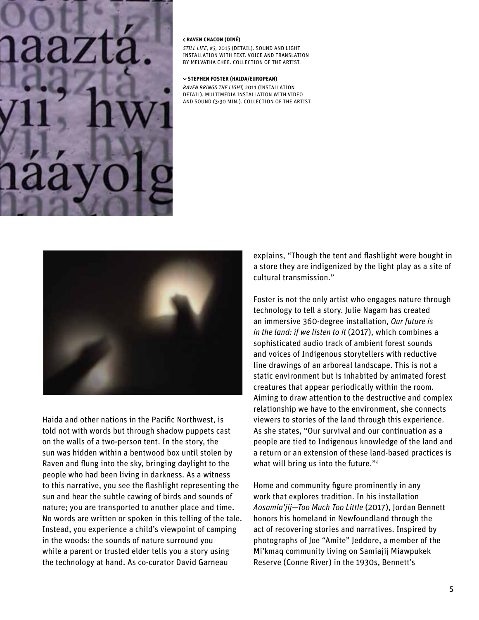### <span id="page-4-0"></span> **RAVEN CHACON (DINÉ)**

*STILL LIFE, #3,* 2015 (DETAIL). SOUND AND LIGHT INSTALLATION WITH TEXT. VOICE AND TRANSLATION BY MELVATHA CHEE. COLLECTION OF THE ARTIST.

### **STEPHEN FOSTER (HAIDA/EUROPEAN)**

*RAVEN BRINGS THE LIGHT,* 2011 (INSTALLATION DETAIL). MULTIMEDIA INSTALLATION WITH VIDEO AND SOUND (3:30 MIN.). COLLECTION OF THE ARTIST.



Haida and other nations in the Pacific Northwest, is told not with words but through shadow puppets cast on the walls of a two-person tent. In the story, the sun was hidden within a bentwood box until stolen by Raven and flung into the sky, bringing daylight to the people who had been living in darkness. As a witness to this narrative, you see the flashlight representing the sun and hear the subtle cawing of birds and sounds of nature; you are transported to another place and time. No words are written or spoken in this telling of the tale. Instead, you experience a child's viewpoint of camping in the woods: the sounds of nature surround you while a parent or trusted elder tells you a story using the technology at hand. As co-curator David Garneau

explains, "Though the tent and flashlight were bought in a store they are indigenized by the light play as a site of cultural transmission."

Foster is not the only artist who engages nature through technology to tell a story. Julie Nagam has created an immersive 360-degree installation, *Our future is in the land: if we listen to it* (2017), which combines a sophisticated audio track of ambient forest sounds and voices of Indigenous storytellers with reductive line drawings of an arboreal landscape. This is not a static environment but is inhabited by animated forest creatures that appear periodically within the room. Aiming to draw attention to the destructive and complex relationship we have to the environment, she connects viewers to stories of the land through this experience. As she states, "Our survival and our continuation as a people are tied to Indigenous knowledge of the land and a return or an extension of these land-based practices is what will bring us into the future."<sup>[4](#page-6-0)</sup>

Home and community figure prominently in any work that explores tradition. In his installation *Aosamia'jij—Too Much Too Little* (2017), Jordan Bennett honors his homeland in Newfoundland through the act of recovering stories and narratives. Inspired by photographs of Joe "Amite" Jeddore, a member of the Mi'kmaq community living on Samiajij Miawpukek Reserve (Conne River) in the 1930s, Bennett's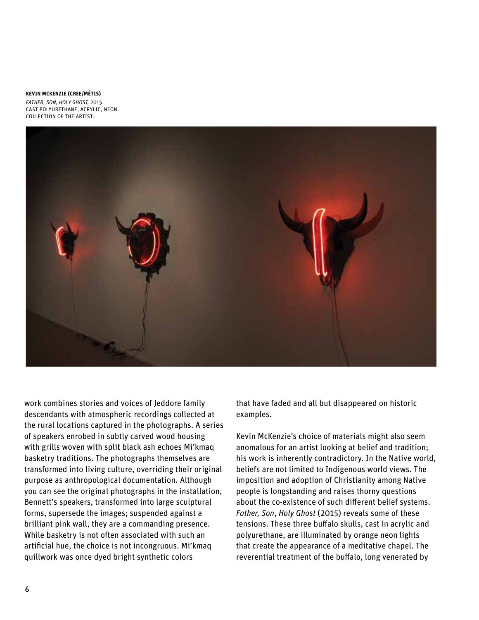### **KEVIN MCKENZIE (CREE/MÉTIS)**

*FATHER, SON, HOLY GHOST,* 2015. CAST POLYURETHANE, ACRYLIC, NEON. COLLECTION OF THE ARTIST.



work combines stories and voices of Jeddore family descendants with atmospheric recordings collected at the rural locations captured in the photographs. A series of speakers enrobed in subtly carved wood housing with grills woven with split black ash echoes Mi'kmaq basketry traditions. The photographs themselves are transformed into living culture, overriding their original purpose as anthropological documentation. Although you can see the original photographs in the installation, Bennett's speakers, transformed into large sculptural forms, supersede the images; suspended against a brilliant pink wall, they are a commanding presence. While basketry is not often associated with such an artificial hue, the choice is not incongruous. Mi'kmaq quillwork was once dyed bright synthetic colors

that have faded and all but disappeared on historic examples.

Kevin McKenzie's choice of materials might also seem anomalous for an artist looking at belief and tradition; his work is inherently contradictory. In the Native world, beliefs are not limited to Indigenous world views. The imposition and adoption of Christianity among Native people is longstanding and raises thorny questions about the co-existence of such different belief systems. *Father, Son*, *Holy Ghost* (2015) reveals some of these tensions. These three buffalo skulls, cast in acrylic and polyurethane, are illuminated by orange neon lights that create the appearance of a meditative chapel. The reverential treatment of the buffalo, long venerated by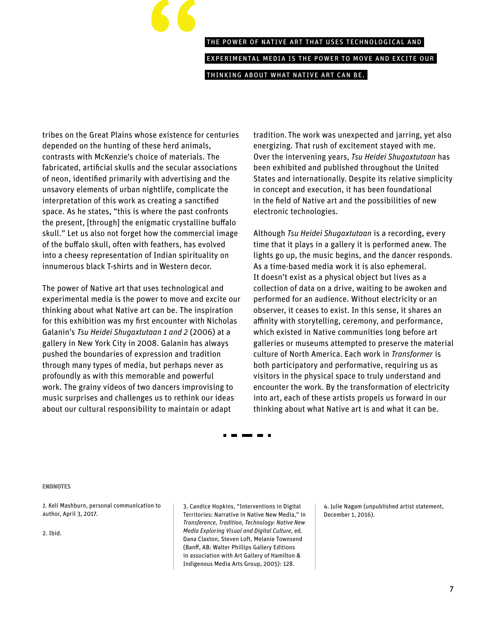### " the power of native art that uses technological and experimental media is the power to move and excite our thinking about what native art can be.

<span id="page-6-0"></span>tribes on the Great Plains whose existence for centuries depended on the hunting of these herd animals, contrasts with McKenzie's choice of materials. The fabricated, artificial skulls and the secular associations of neon, identified primarily with advertising and the unsavory elements of urban nightlife, complicate the interpretation of this work as creating a sanctified space. As he states, "this is where the past confronts the present, [through] the enigmatic crystalline buffalo skull." Let us also not forget how the commercial image of the buffalo skull, often with feathers, has evolved into a cheesy representation of Indian spirituality on innumerous black T-shirts and in Western decor.

The power of Native art that uses technological and experimental media is the power to move and excite our thinking about what Native art can be. The inspiration for this exhibition was my first encounter with Nicholas Galanin's *Tsu Heidei Shugaxtutaan 1 and 2* (2006) at a gallery in New York City in 2008. Galanin has always pushed the boundaries of expression and tradition through many types of media, but perhaps never as profoundly as with this memorable and powerful work. The grainy videos of two dancers improvising to music surprises and challenges us to rethink our ideas about our cultural responsibility to maintain or adapt

tradition. The work was unexpected and jarring, yet also energizing. That rush of excitement stayed with me. Over the intervening years, *Tsu Heidei Shugaxtutaan* has been exhibited and published throughout the United States and internationally. Despite its relative simplicity in concept and execution, it has been foundational in the field of Native art and the possibilities of new electronic technologies.

Although *Tsu Heidei Shugaxtutaan* is a recording, every time that it plays in a gallery it is performed anew. The lights go up, the music begins, and the dancer responds. As a time-based media work it is also ephemeral. It doesn't exist as a physical object but lives as a collection of data on a drive, waiting to be awoken and performed for an audience. Without electricity or an observer, it ceases to exist. In this sense, it shares an affinity with storytelling, ceremony, and performance, which existed in Native communities long before art galleries or museums attempted to preserve the material culture of North America. Each work in *Transformer* is both participatory and performative, requiring us as visitors in the physical space to truly understand and encounter the work. By the transformation of electricity into art, each of these artists propels us forward in our thinking about what Native art is and what it can be.

. . . . .

### ENDNOTES ENDNOTES

*[1](#page-2-0).* Keli Mashburn, personal communication to author, April 3, 2017.

[2.](#page-3-0) Ibid.

[3](#page-3-0). Candice Hopkins, "Interventions in Digital Territories: Narrative in Native New Media," in *Transference, Tradition, Technology: Native New Media Exploring Visual and Digital Culture,* ed. Dana Claxton, Steven Loft, Melanie Townsend (Banff, AB: Walter Phillips Gallery Editions in association with Art Gallery of Hamilton & Indigenous Media Arts Group, 2005): 128.

[4.](#page-4-0) Julie Nagam (unpublished artist statement, December 1, 2016).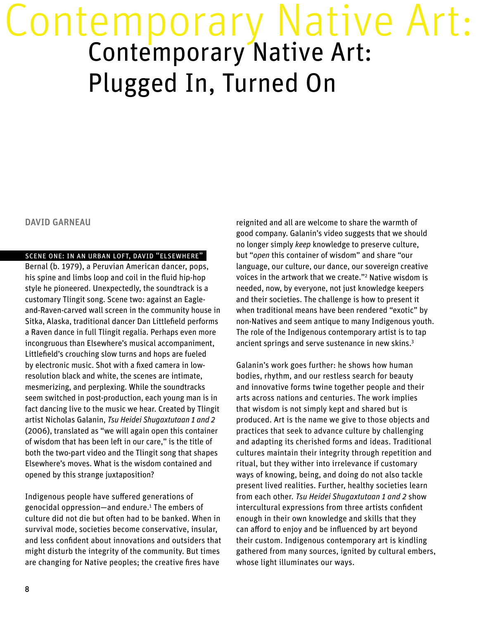### <span id="page-7-0"></span>Contemporary Native Art:<br>Contemporary Native Art: Plugged In, Turned On

### DAVID GARNEAU

### scene one: in an urban loft, david "elsewhere"

Bernal (b. 1979), a Peruvian American dancer, pops, his spine and limbs loop and coil in the fluid hip-hop style he pioneered. Unexpectedly, the soundtrack is a customary Tlingit song. Scene two: against an Eagleand-Raven-carved wall screen in the community house in Sitka, Alaska, traditional dancer Dan Littlefield performs a Raven dance in full Tlingit regalia. Perhaps even more incongruous than Elsewhere's musical accompaniment, Littlefield's crouching slow turns and hops are fueled by electronic music. Shot with a fixed camera in lowresolution black and white, the scenes are intimate, mesmerizing, and perplexing. While the soundtracks seem switched in post-production, each young man is in fact dancing live to the music we hear. Created by Tlingit artist Nicholas Galanin, *Tsu Heidei Shugaxtutaan 1 and 2* (2006), translated as "we will again open this container of wisdom that has been left in our care," is the title of both the two-part video and the Tlingit song that shapes Elsewhere's moves. What is the wisdom contained and opened by this strange juxtaposition?

Indigenous people have suffered generations of genocidal oppression—and endure[.1](#page-14-0) The embers of culture did not die but often had to be banked. When in survival mode, societies become conservative, insular, and less confident about innovations and outsiders that might disturb the integrity of the community. But times are changing for Native peoples; the creative fires have

reignited and all are welcome to share the warmth of good company. Galanin's video suggests that we should no longer simply *keep* knowledge to preserve culture, but "*open* this container of wisdom" and share "our language, our culture, our dance, our sovereign creative voices in the artwork that we create."[2](#page-14-0) Native wisdom is needed, now, by everyone, not just knowledge keepers and their societies. The challenge is how to present it when traditional means have been rendered "exotic" by non-Natives and seem antique to many Indigenous youth. The role of the Indigenous contemporary artist is to tap ancient springs and serve sustenance in new skins.<sup>3</sup>

Galanin's work goes further: he shows how human bodies, rhythm, and our restless search for beauty and innovative forms twine together people and their arts across nations and centuries. The work implies that wisdom is not simply kept and shared but is produced. Art is the name we give to those objects and practices that seek to advance culture by challenging and adapting its cherished forms and ideas. Traditional cultures maintain their integrity through repetition and ritual, but they wither into irrelevance if customary ways of knowing, being, and doing do not also tackle present lived realities. Further, healthy societies learn from each other. *Tsu Heidei Shugaxtutaan 1 and 2* show intercultural expressions from three artists confident enough in their own knowledge and skills that they can afford to enjoy and be influenced by art beyond their custom. Indigenous contemporary art is kindling gathered from many sources, ignited by cultural embers, whose light illuminates our ways.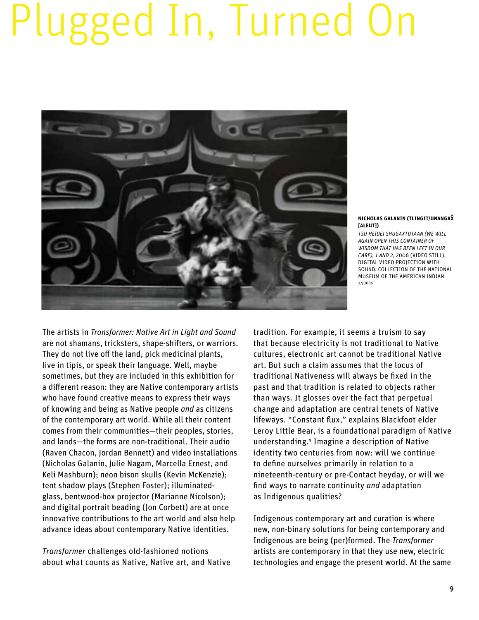### <span id="page-8-0"></span>Plugged In, Turned On



**NICHOLAS GALANIN (TLINGIT/UNANGAX^ [ALEUT])**

*TSU HEIDEI SHUGAXTUTAAN (WE WILL AGAIN OPEN THIS CONTAINER OF WISDOM THAT HAS BEEN LEFT IN OUR CARE), 1 AND 2,* 2006 (VIDEO STILL). DIGITAL VIDEO PROJECTION WITH SOUND. COLLECTION OF THE NATIONAL MUSEUM OF THE AMERICAN INDIAN. 27/0086

The artists in *Transformer: Native Art in Light and Sound* are not shamans, tricksters, shape-shifters, or warriors. They do not live off the land, pick medicinal plants, live in tipis, or speak their language. Well, maybe sometimes, but they are included in this exhibition for a different reason: they are Native contemporary artists who have found creative means to express their ways of knowing and being as Native people *and* as citizens of the contemporary art world. While all their content comes from their communities—their peoples, stories, and lands—the forms are non-traditional. Their audio (Raven Chacon, Jordan Bennett) and video installations (Nicholas Galanin, Julie Nagam, Marcella Ernest, and Keli Mashburn); neon bison skulls (Kevin McKenzie); tent shadow plays (Stephen Foster); illuminatedglass, bentwood-box projector (Marianne Nicolson); and digital portrait beading (Jon Corbett) are at once innovative contributions to the art world and also help advance ideas about contemporary Native identities.

*Transformer* challenges old-fashioned notions about what counts as Native, Native art, and Native tradition. For example, it seems a truism to say that because electricity is not traditional to Native cultures, electronic art cannot be traditional Native art. But such a claim assumes that the locus of traditional Nativeness will always be fixed in the past and that tradition is related to objects rather than ways. It glosses over the fact that perpetual change and adaptation are central tenets of Native lifeways. "Constant flux," explains Blackfoot elder Leroy Little Bear, is a foundational paradigm of Native understanding.[4](#page-14-0) Imagine a description of Native identity two centuries from now: will we continue to define ourselves primarily in relation to a nineteenth-century or pre-Contact heyday, or will we find ways to narrate continuity *and* adaptation as Indigenous qualities?

Indigenous contemporary art and curation is where new, non-binary solutions for being contemporary and Indigenous are being (per)formed. The *Transformer* artists are contemporary in that they use new, electric technologies and engage the present world. At the same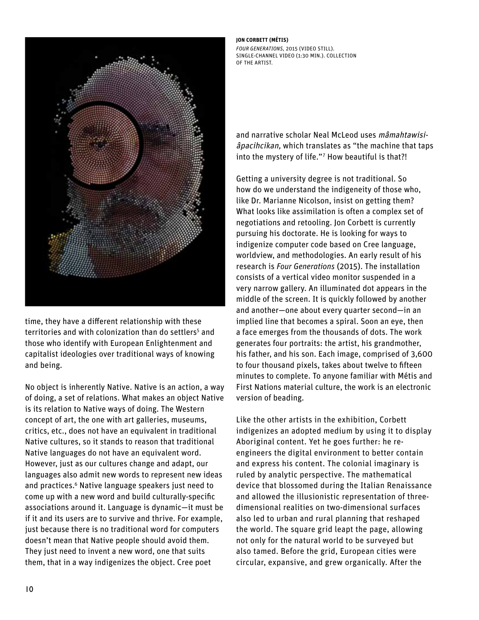<span id="page-9-0"></span>

time, they have a different relationship with these territories and with colonization than do settlers<sup>[5](#page-14-0)</sup> and those who identify with European Enlightenment and capitalist ideologies over traditional ways of knowing and being.

No object is inherently Native. Native is an action, a way of doing, a set of relations. What makes an object Native is its relation to Native ways of doing. The Western concept of art, the one with art galleries, museums, critics, etc., does not have an equivalent in traditional Native cultures, so it stands to reason that traditional Native languages do not have an equivalent word. However, just as our cultures change and adapt, our languages also admit new words to represent new ideas and practices.<sup>6</sup> Native language speakers just need to come up with a new word and build culturally-specific associations around it. Language is dynamic—it must be if it and its users are to survive and thrive. For example, just because there is no traditional word for computers doesn't mean that Native people should avoid them. They just need to invent a new word, one that suits them, that in a way indigenizes the object. Cree poet

### **JON CORBETT (MÉTIS)**

*FOUR GENERATIONS,* 2015 (VIDEO STILL). SINGLE-CHANNEL VIDEO (1:30 MIN.). COLLECTION OF THE ARTIST.

and narrative scholar Neal McLeod uses mâmahtawisiâpacihcikan, which translates as "the machine that taps into the mystery of life."[7](#page-14-0) How beautiful is that?!

Getting a university degree is not traditional. So how do we understand the indigeneity of those who, like Dr. Marianne Nicolson, insist on getting them? What looks like assimilation is often a complex set of negotiations and retooling. Jon Corbett is currently pursuing his doctorate. He is looking for ways to indigenize computer code based on Cree language, worldview, and methodologies. An early result of his research is *Four Generations* (2015). The installation consists of a vertical video monitor suspended in a very narrow gallery. An illuminated dot appears in the middle of the screen. It is quickly followed by another and another—one about every quarter second—in an implied line that becomes a spiral. Soon an eye, then a face emerges from the thousands of dots. The work generates four portraits: the artist, his grandmother, his father, and his son. Each image, comprised of 3,600 to four thousand pixels, takes about twelve to fifteen minutes to complete. To anyone familiar with Métis and First Nations material culture, the work is an electronic version of beading.

Like the other artists in the exhibition, Corbett indigenizes an adopted medium by using it to display Aboriginal content. Yet he goes further: he reengineers the digital environment to better contain and express his content. The colonial imaginary is ruled by analytic perspective. The mathematical device that blossomed during the Italian Renaissance and allowed the illusionistic representation of threedimensional realities on two-dimensional surfaces also led to urban and rural planning that reshaped the world. The square grid leapt the page, allowing not only for the natural world to be surveyed but also tamed. Before the grid, European cities were circular, expansive, and grew organically. After the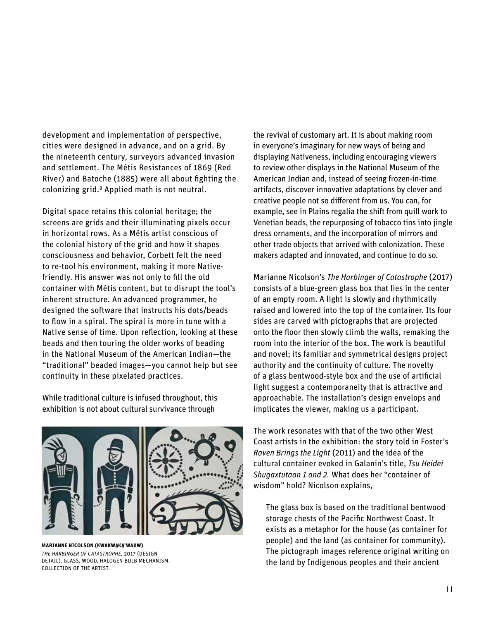<span id="page-10-0"></span>development and implementation of perspective, cities were designed in advance, and on a grid. By the nineteenth century, surveyors advanced invasion and settlement. The Métis Resistances of 1869 (Red River) and Batoche (1885) were all about fighting the colonizing grid[.8](#page-14-0) Applied math is not neutral.

Digital space retains this colonial heritage; the screens are grids and their illuminating pixels occur in horizontal rows. As a Métis artist conscious of the colonial history of the grid and how it shapes consciousness and behavior, Corbett felt the need to re-tool his environment, making it more Nativefriendly. His answer was not only to fill the old container with Métis content, but to disrupt the tool's inherent structure. An advanced programmer, he designed the software that instructs his dots/beads to flow in a spiral. The spiral is more in tune with a Native sense of time. Upon reflection, looking at these beads and then touring the older works of beading in the National Museum of the American Indian—the "traditional" beaded images—you cannot help but see continuity in these pixelated practices.

While traditional culture is infused throughout, this exhibition is not about cultural survivance through



**MARIANNE NICOLSON (KWAKWAKA'WAKW)** *THE HARBINGER OF CATASTROPHE,* 2017 (DESIGN DETAIL). GLASS, WOOD, HALOGEN-BULB MECHANISM. COLLECTION OF THE ARTIST.

the revival of customary art. It is about making room in everyone's imaginary for new ways of being and displaying Nativeness, including encouraging viewers to review other displays in the National Museum of the American Indian and, instead of seeing frozen-in-time artifacts, discover innovative adaptations by clever and creative people not so different from us. You can, for example, see in Plains regalia the shift from quill work to Venetian beads, the repurposing of tobacco tins into jingle dress ornaments, and the incorporation of mirrors and other trade objects that arrived with colonization. These makers adapted and innovated, and continue to do so.

Marianne Nicolson's *The Harbinger of Catastrophe* (2017) consists of a blue-green glass box that lies in the center of an empty room. A light is slowly and rhythmically raised and lowered into the top of the container. Its four sides are carved with pictographs that are projected onto the floor then slowly climb the walls, remaking the room into the interior of the box. The work is beautiful and novel; its familiar and symmetrical designs project authority and the continuity of culture. The novelty of a glass bentwood-style box and the use of artificial light suggest a contemporaneity that is attractive and approachable. The installation's design envelops and implicates the viewer, making us a participant.

The work resonates with that of the two other West Coast artists in the exhibition: the story told in Foster's *Raven Brings the Light* (2011) and the idea of the cultural container evoked in Galanin's title, *Tsu Heidei Shugaxtutaan 1 and 2.* What does her "container of wisdom" hold? Nicolson explains,

The glass box is based on the traditional bentwood storage chests of the Pacific Northwest Coast. It exists as a metaphor for the house (as container for people) and the land (as container for community). The pictograph images reference original writing on the land by Indigenous peoples and their ancient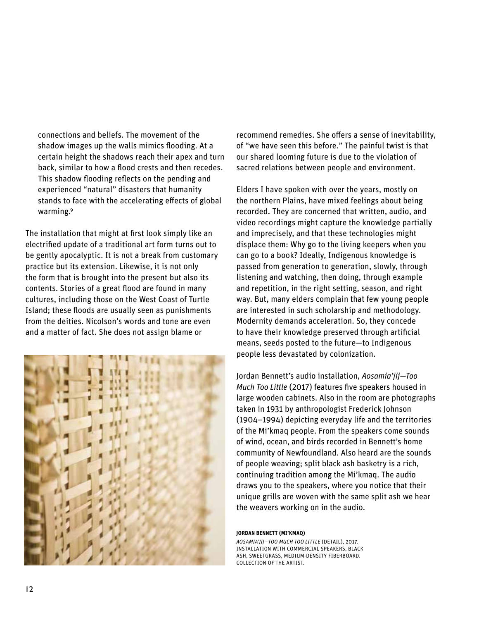<span id="page-11-0"></span>connections and beliefs. The movement of the shadow images up the walls mimics flooding. At a certain height the shadows reach their apex and turn back, similar to how a flood crests and then recedes. This shadow flooding reflects on the pending and experienced "natural" disasters that humanity stands to face with the accelerating effects of global warming.<sup>9</sup>

The installation that might at first look simply like an electrified update of a traditional art form turns out to be gently apocalyptic. It is not a break from customary practice but its extension. Likewise, it is not only the form that is brought into the present but also its contents. Stories of a great flood are found in many cultures, including those on the West Coast of Turtle Island; these floods are usually seen as punishments from the deities. Nicolson's words and tone are even and a matter of fact. She does not assign blame or



recommend remedies. She offers a sense of inevitability, of "we have seen this before." The painful twist is that our shared looming future is due to the violation of sacred relations between people and environment.

Elders I have spoken with over the years, mostly on the northern Plains, have mixed feelings about being recorded. They are concerned that written, audio, and video recordings might capture the knowledge partially and imprecisely, and that these technologies might displace them: Why go to the living keepers when you can go to a book? Ideally, Indigenous knowledge is passed from generation to generation, slowly, through listening and watching, then doing, through example and repetition, in the right setting, season, and right way. But, many elders complain that few young people are interested in such scholarship and methodology. Modernity demands acceleration. So, they concede to have their knowledge preserved through artificial means, seeds posted to the future—to Indigenous people less devastated by colonization.

Jordan Bennett's audio installation, *Aosamia'jij—Too Much Too Little* (2017) features five speakers housed in large wooden cabinets. Also in the room are photographs taken in 1931 by anthropologist Frederick Johnson (1904–1994) depicting everyday life and the territories of the Mi'kmaq people. From the speakers come sounds of wind, ocean, and birds recorded in Bennett's home community of Newfoundland. Also heard are the sounds of people weaving; split black ash basketry is a rich, continuing tradition among the Mi'kmaq. The audio draws you to the speakers, where you notice that their unique grills are woven with the same split ash we hear the weavers working on in the audio.

### **JORDAN BENNETT (MI'KMAQ)**

*AOSAMIA'JIJ—TOO MUCH TOO LITTLE* (DETAIL), 2017. INSTALLATION WITH COMMERCIAL SPEAKERS, BLACK ASH, SWEETGRASS, MEDIUM-DENSITY FIBERBOARD. COLLECTION OF THE ARTIST.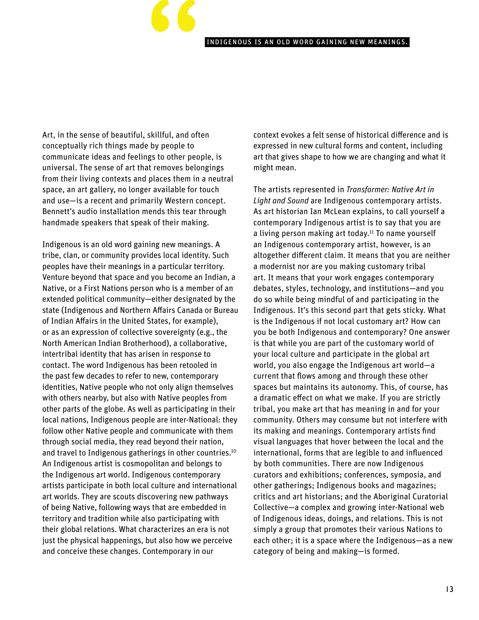### indigenous is an old word gaining new meanings.

<span id="page-12-0"></span>Art, in the sense of beautiful, skillful, and often conceptually rich things made by people to communicate ideas and feelings to other people, is universal. The sense of art that removes belongings from their living contexts and places them in a neutral space, an art gallery, no longer available for touch and use—is a recent and primarily Western concept. Bennett's audio installation mends this tear through handmade speakers that speak of their making.

"

Indigenous is an old word gaining new meanings. A tribe, clan, or community provides local identity. Such peoples have their meanings in a particular territory. Venture beyond that space and you become an Indian, a Native, or a First Nations person who is a member of an extended political community—either designated by the state (Indigenous and Northern Affairs Canada or Bureau of Indian Affairs in the United States, for example), or as an expression of collective sovereignty (e.g., the North American Indian Brotherhood), a collaborative, intertribal identity that has arisen in response to contact. The word Indigenous has been retooled in the past few decades to refer to new, contemporary identities, Native people who not only align themselves with others nearby, but also with Native peoples from other parts of the globe. As well as participating in their local nations, Indigenous people are inter-National: they follow other Native people and communicate with them through social media, they read beyond their nation, and travel to Indigenous gatherings in other countries.<sup>[10](#page-14-0)</sup> An Indigenous artist is cosmopolitan and belongs to the Indigenous art world. Indigenous contemporary artists participate in both local culture and international art worlds. They are scouts discovering new pathways of being Native, following ways that are embedded in territory and tradition while also participating with their global relations. What characterizes an era is not just the physical happenings, but also how we perceive and conceive these changes. Contemporary in our

context evokes a felt sense of historical difference and is expressed in new cultural forms and content, including art that gives shape to how we are changing and what it might mean.

The artists represented in *Transformer: Native Art in Light and Sound* are Indigenous contemporary artists. As art historian Ian McLean explains, to call yourself a contemporary Indigenous artist is to say that you are a living person making art today.<sup>11</sup> To name yourself an Indigenous contemporary artist, however, is an altogether different claim. It means that you are neither a modernist nor are you making customary tribal art. It means that your work engages contemporary debates, styles, technology, and institutions—and you do so while being mindful of and participating in the Indigenous. It's this second part that gets sticky. What is the Indigenous if not local customary art? How can you be both Indigenous and contemporary? One answer is that while you are part of the customary world of your local culture and participate in the global art world, you also engage the Indigenous art world—a current that flows among and through these other spaces but maintains its autonomy. This, of course, has a dramatic effect on what we make. If you are strictly tribal, you make art that has meaning in and for your community. Others may consume but not interfere with its making and meanings. Contemporary artists find visual languages that hover between the local and the international, forms that are legible to and influenced by both communities. There are now Indigenous curators and exhibitions; conferences, symposia, and other gatherings; Indigenous books and magazines; critics and art historians; and the Aboriginal Curatorial Collective—a complex and growing inter-National web of Indigenous ideas, doings, and relations. This is not simply a group that promotes their various Nations to each other; it is a space where the Indigenous—as a new category of being and making—is formed.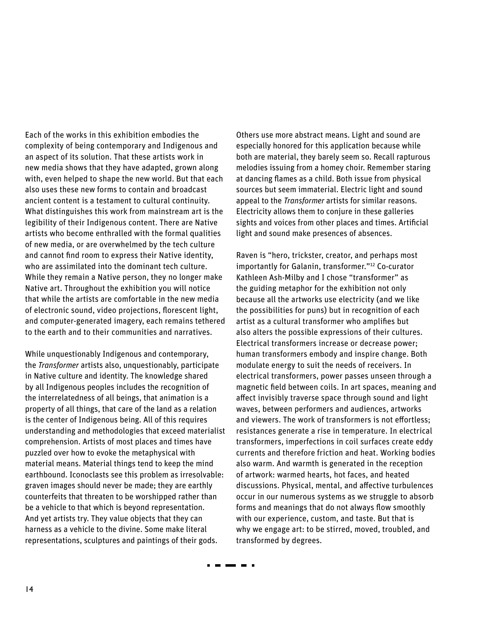<span id="page-13-0"></span>Each of the works in this exhibition embodies the complexity of being contemporary and Indigenous and an aspect of its solution. That these artists work in new media shows that they have adapted, grown along with, even helped to shape the new world. But that each also uses these new forms to contain and broadcast ancient content is a testament to cultural continuity. What distinguishes this work from mainstream art is the legibility of their Indigenous content. There are Native artists who become enthralled with the formal qualities of new media, or are overwhelmed by the tech culture and cannot find room to express their Native identity, who are assimilated into the dominant tech culture. While they remain a Native person, they no longer make Native art. Throughout the exhibition you will notice that while the artists are comfortable in the new media of electronic sound, video projections, florescent light, and computer-generated imagery, each remains tethered to the earth and to their communities and narratives.

While unquestionably Indigenous and contemporary, the *Transformer* artists also, unquestionably, participate in Native culture and identity. The knowledge shared by all Indigenous peoples includes the recognition of the interrelatedness of all beings, that animation is a property of all things, that care of the land as a relation is the center of Indigenous being. All of this requires understanding and methodologies that exceed materialist comprehension. Artists of most places and times have puzzled over how to evoke the metaphysical with material means. Material things tend to keep the mind earthbound. Iconoclasts see this problem as irresolvable: graven images should never be made; they are earthly counterfeits that threaten to be worshipped rather than be a vehicle to that which is beyond representation. And yet artists try. They value objects that they can harness as a vehicle to the divine. Some make literal representations, sculptures and paintings of their gods.

. . . . .

Others use more abstract means. Light and sound are especially honored for this application because while both are material, they barely seem so. Recall rapturous melodies issuing from a homey choir. Remember staring at dancing flames as a child. Both issue from physical sources but seem immaterial. Electric light and sound appeal to the *Transformer* artists for similar reasons. Electricity allows them to conjure in these galleries sights and voices from other places and times. Artificial light and sound make presences of absences.

Raven is "hero, trickster, creator, and perhaps most importantly for Galanin, transformer.["12](#page-14-0) Co-curator Kathleen Ash-Milby and I chose "transformer" as the guiding metaphor for the exhibition not only because all the artworks use electricity (and we like the possibilities for puns) but in recognition of each artist as a cultural transformer who amplifies but also alters the possible expressions of their cultures. Electrical transformers increase or decrease power; human transformers embody and inspire change. Both modulate energy to suit the needs of receivers. In electrical transformers, power passes unseen through a magnetic field between coils. In art spaces, meaning and affect invisibly traverse space through sound and light waves, between performers and audiences, artworks and viewers. The work of transformers is not effortless; resistances generate a rise in temperature. In electrical transformers, imperfections in coil surfaces create eddy currents and therefore friction and heat. Working bodies also warm. And warmth is generated in the reception of artwork: warmed hearts, hot faces, and heated discussions. Physical, mental, and affective turbulences occur in our numerous systems as we struggle to absorb forms and meanings that do not always flow smoothly with our experience, custom, and taste. But that is why we engage art: to be stirred, moved, troubled, and transformed by degrees.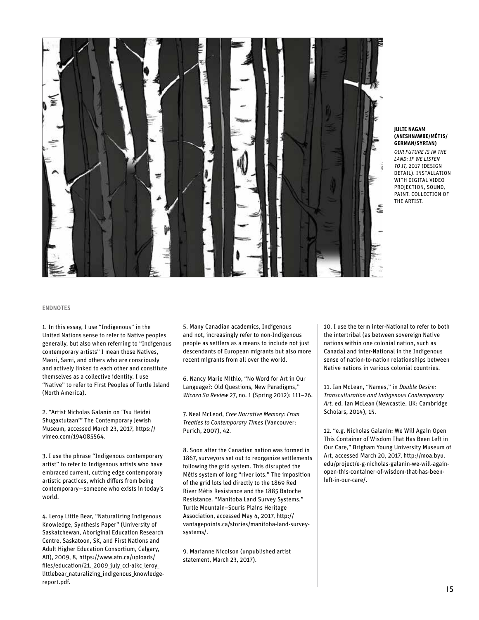<span id="page-14-0"></span>

#### **JULIE NAGAM (ANISHNAWBE/MÉTIS/ GERMAN/SYRIAN)**

*OUR FUTURE IS IN THE LAND: IF WE LISTEN TO IT,* 2017 (DESIGN DETAIL). INSTALLATION WITH DIGITAL VIDEO PROJECTION, SOUND, PAINT. COLLECTION OF THE ARTIST.

#### ENDNOTES

[1.](#page-7-0) In this essay, I use "Indigenous" in the United Nations sense to refer to Native peoples generally, but also when referring to "Indigenous contemporary artists" I mean those Natives, Maori, Sami, and others who are consciously and actively linked to each other and constitute themselves as a collective identity. I use "Native" to refer to First Peoples of Turtle Island (North America).

[2](#page-7-0). "Artist Nicholas Galanin on 'Tsu Heidei Shugaxtutaan'" The Contemporary Jewish Museum, accessed March 23, 2017, [https://](https://vimeo.com/194085564) [vimeo.com/194085564.](https://vimeo.com/194085564)

[3](#page-7-0). I use the phrase "Indigenous contemporary artist" to refer to Indigenous artists who have embraced current, cutting edge contemporary artistic practices, which differs from being contemporary—someone who exists in today's world.

[4.](#page-8-0) Leroy Little Bear, "Naturalizing Indigenous Knowledge, Synthesis Paper" (University of Saskatchewan, Aboriginal Education Research Centre, Saskatoon, SK, and First Nations and Adult Higher Education Consortium, Calgary, AB), 2009, 8, [https://www.afn.ca/uploads/](https://www.afn.ca/uploads/files/education/21._2009_july_ccl-alkc_leroy_littlebear_naturalizing_indigenous_knowledge-report.pdf) [files/education/21.\\_2009\\_july\\_ccl-alkc\\_leroy\\_](https://www.afn.ca/uploads/files/education/21._2009_july_ccl-alkc_leroy_littlebear_naturalizing_indigenous_knowledge-report.pdf) [littlebear\\_naturalizing\\_indigenous\\_knowledge](https://www.afn.ca/uploads/files/education/21._2009_july_ccl-alkc_leroy_littlebear_naturalizing_indigenous_knowledge-report.pdf)[report.pdf.](https://www.afn.ca/uploads/files/education/21._2009_july_ccl-alkc_leroy_littlebear_naturalizing_indigenous_knowledge-report.pdf)

[5](#page-9-0). Many Canadian academics, Indigenous and not, increasingly refer to non-Indigenous people as settlers as a means to include not just descendants of European migrants but also more recent migrants from all over the world.

[6.](#page-9-0) Nancy Marie Mithlo, "No Word for Art in Our Language?: Old Questions, New Paradigms," *Wicazo Sa Review* 27, no. 1 (Spring 2012): 111–26.

[7](#page-9-0). Neal McLeod, *Cree Narrative Memory: From Treaties to Contemporary Times* (Vancouver: Purich, 2007), 42.

[8](#page-10-0). Soon after the Canadian nation was formed in 1867, surveyors set out to reorganize settlements following the grid system. This disrupted the Métis system of long "river lots." The imposition of the grid lots led directly to the 1869 Red River Métis Resistance and the 1885 Batoche Resistance. "Manitoba Land Survey Systems," Turtle Mountain–Souris Plains Heritage Association, accessed May 4, 2017, [http://](http://vantagepoints.ca/stories/manitoba-land-survey-systems) [vantagepoints.ca/stories/manitoba-land-survey](http://vantagepoints.ca/stories/manitoba-land-survey-systems)[systems/](http://vantagepoints.ca/stories/manitoba-land-survey-systems).

[9](#page-11-0). Marianne Nicolson (unpublished artist statement, March 23, 2017).

[10](#page-12-0). I use the term inter-National to refer to both the intertribal (as between sovereign Native nations within one colonial nation, such as Canada) and inter-National in the Indigenous sense of nation-to-nation relationships between Native nations in various colonial countries.

[11](#page-12-0). Ian McLean, "Names," in *Double Desire: Transculturation and Indigenous Contemporary Art,* ed. Ian McLean (Newcastle, UK: Cambridge Scholars, 2014), 15.

[12.](#page-13-0) "e.g. Nicholas Galanin: We Will Again Open This Container of Wisdom That Has Been Left in Our Care," Brigham Young University Museum of Art, accessed March 20, 2017, [http://moa.byu.](http://moa.byu.edu/project/e-g-nicholas-galanin-we-will-again-open-this-container-of-wisdom-that-has) [edu/project/e-g-nicholas-galanin-we-will-again](http://moa.byu.edu/project/e-g-nicholas-galanin-we-will-again-open-this-container-of-wisdom-that-has)[open-this-container-of-wisdom-that-has-been](http://moa.byu.edu/project/e-g-nicholas-galanin-we-will-again-open-this-container-of-wisdom-that-has)[left-in-our-care/](http://moa.byu.edu/project/e-g-nicholas-galanin-we-will-again-open-this-container-of-wisdom-that-has).